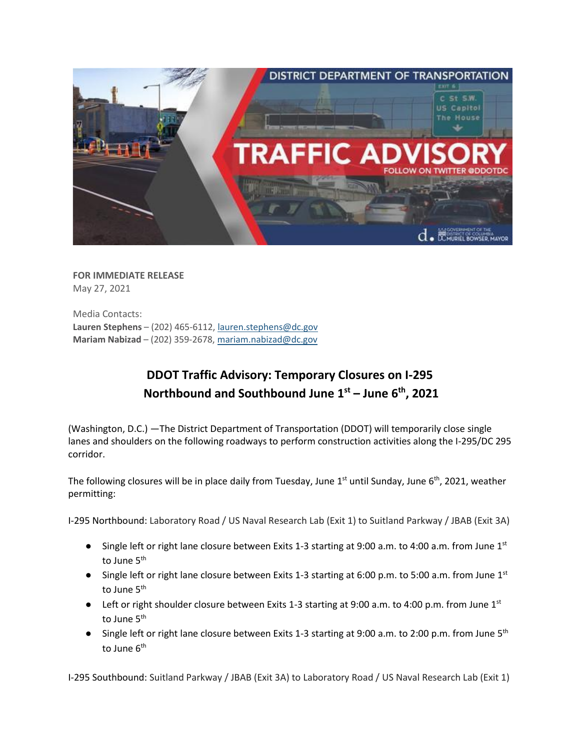

**FOR IMMEDIATE RELEASE** May 27, 2021

Media Contacts: **Lauren Stephens** – (202) 465-6112[, lauren.stephens@dc.gov](mailto:lauren.stephens@dc.gov) **Mariam Nabizad** – (202) 359-2678, [mariam.nabizad@dc.gov](mailto:mariam.nabizad@dc.gov)

## **DDOT Traffic Advisory: Temporary Closures on I-295 Northbound and Southbound June 1st – June 6th, 2021**

(Washington, D.C.) —The District Department of Transportation (DDOT) will temporarily close single lanes and shoulders on the following roadways to perform construction activities along the I-295/DC 295 corridor.

The following closures will be in place daily from Tuesday, June 1<sup>st</sup> until Sunday, June 6<sup>th</sup>, 2021, weather permitting:

I-295 Northbound: Laboratory Road / US Naval Research Lab (Exit 1) to Suitland Parkway / JBAB (Exit 3A)

- Single left or right lane closure between Exits 1-3 starting at 9:00 a.m. to 4:00 a.m. from June 1<sup>st</sup> to June 5<sup>th</sup>
- Single left or right lane closure between Exits 1-3 starting at 6:00 p.m. to 5:00 a.m. from June 1<sup>st</sup> to June 5<sup>th</sup>
- **•** Left or right shoulder closure between Exits 1-3 starting at 9:00 a.m. to 4:00 p.m. from June 1st to June 5<sup>th</sup>
- Single left or right lane closure between Exits 1-3 starting at 9:00 a.m. to 2:00 p.m. from June 5<sup>th</sup> to June 6<sup>th</sup>

I-295 Southbound: Suitland Parkway / JBAB (Exit 3A) to Laboratory Road / US Naval Research Lab (Exit 1)